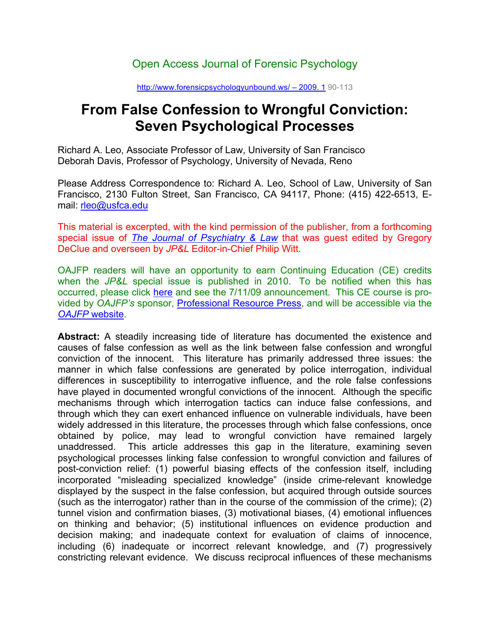# Open Access Journal of Forensic Psychology

#### http://www.forensicpsychologyunbound.ws/ - 2009. 1 90-113

# **From False Confession to Wrongful Conviction: Seven Psychological Processes**

Richard A. Leo, Associate Professor of Law, University of San Francisco Deborah Davis, Professor of Psychology, University of Nevada, Reno

Please Address Correspondence to: Richard A. Leo, School of Law, University of San Francisco, 2130 Fulton Street, San Francisco, CA 94117, Phone: (415) 422-6513, Email: rleo@usfca.edu

This material is excerpted, with the kind permission of the publisher, from a forthcoming special issue of *The Journal of Psychiatry & Law* that was guest edited by Gregory DeClue and overseen by *JP&L* Editor-in-Chief Philip Witt.

OAJFP readers will have an opportunity to earn Continuing Education (CE) credits when the *JP&L* special issue is published in 2010. To be notified when this has occurred, please click here and see the 7/11/09 announcement. This CE course is provided by *OAJFP's* sponsor, Professional Resource Press, and will be accessible via the *OAJFP* website.

**Abstract:** A steadily increasing tide of literature has documented the existence and causes of false confession as well as the link between false confession and wrongful conviction of the innocent. This literature has primarily addressed three issues: the manner in which false confessions are generated by police interrogation, individual differences in susceptibility to interrogative influence, and the role false confessions have played in documented wrongful convictions of the innocent. Although the specific mechanisms through which interrogation tactics can induce false confessions, and through which they can exert enhanced influence on vulnerable individuals, have been widely addressed in this literature, the processes through which false confessions, once obtained by police, may lead to wrongful conviction have remained largely unaddressed. This article addresses this gap in the literature, examining seven psychological processes linking false confession to wrongful conviction and failures of post-conviction relief: (1) powerful biasing effects of the confession itself, including incorporated "misleading specialized knowledge" (inside crime-relevant knowledge displayed by the suspect in the false confession, but acquired through outside sources (such as the interrogator) rather than in the course of the commission of the crime); (2) tunnel vision and confirmation biases, (3) motivational biases, (4) emotional influences on thinking and behavior; (5) institutional influences on evidence production and decision making; and inadequate context for evaluation of claims of innocence, including (6) inadequate or incorrect relevant knowledge, and (7) progressively constricting relevant evidence. We discuss reciprocal influences of these mechanisms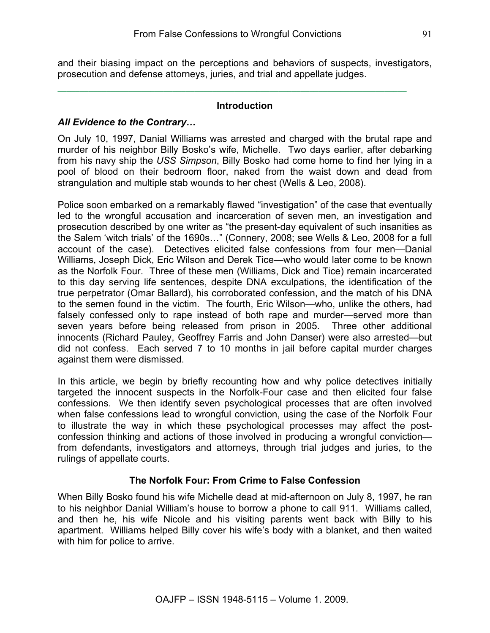and their biasing impact on the perceptions and behaviors of suspects, investigators, prosecution and defense attorneys, juries, and trial and appellate judges.

#### **Introduction**

**¯¯¯¯¯¯¯¯¯¯¯¯¯¯¯¯¯¯¯¯¯¯¯¯¯¯¯¯¯¯¯¯¯¯¯¯¯¯¯¯¯¯¯¯¯¯¯¯¯¯¯¯¯¯¯¯¯¯¯¯¯¯¯¯¯¯¯¯¯¯¯¯¯¯¯¯¯¯¯**

#### *All Evidence to the Contrary…*

On July 10, 1997, Danial Williams was arrested and charged with the brutal rape and murder of his neighbor Billy Bosko's wife, Michelle. Two days earlier, after debarking from his navy ship the *USS Simpson*, Billy Bosko had come home to find her lying in a pool of blood on their bedroom floor, naked from the waist down and dead from strangulation and multiple stab wounds to her chest (Wells & Leo, 2008).

Police soon embarked on a remarkably flawed "investigation" of the case that eventually led to the wrongful accusation and incarceration of seven men, an investigation and prosecution described by one writer as "the present-day equivalent of such insanities as the Salem 'witch trials' of the 1690s…" (Connery, 2008; see Wells & Leo, 2008 for a full account of the case). Detectives elicited false confessions from four men—Danial Williams, Joseph Dick, Eric Wilson and Derek Tice—who would later come to be known as the Norfolk Four. Three of these men (Williams, Dick and Tice) remain incarcerated to this day serving life sentences, despite DNA exculpations, the identification of the true perpetrator (Omar Ballard), his corroborated confession, and the match of his DNA to the semen found in the victim. The fourth, Eric Wilson—who, unlike the others, had falsely confessed only to rape instead of both rape and murder—served more than seven years before being released from prison in 2005. Three other additional innocents (Richard Pauley, Geoffrey Farris and John Danser) were also arrested—but did not confess. Each served 7 to 10 months in jail before capital murder charges against them were dismissed.

In this article, we begin by briefly recounting how and why police detectives initially targeted the innocent suspects in the Norfolk-Four case and then elicited four false confessions. We then identify seven psychological processes that are often involved when false confessions lead to wrongful conviction, using the case of the Norfolk Four to illustrate the way in which these psychological processes may affect the postconfession thinking and actions of those involved in producing a wrongful conviction from defendants, investigators and attorneys, through trial judges and juries, to the rulings of appellate courts.

#### **The Norfolk Four: From Crime to False Confession**

When Billy Bosko found his wife Michelle dead at mid-afternoon on July 8, 1997, he ran to his neighbor Danial William's house to borrow a phone to call 911. Williams called, and then he, his wife Nicole and his visiting parents went back with Billy to his apartment. Williams helped Billy cover his wife's body with a blanket, and then waited with him for police to arrive.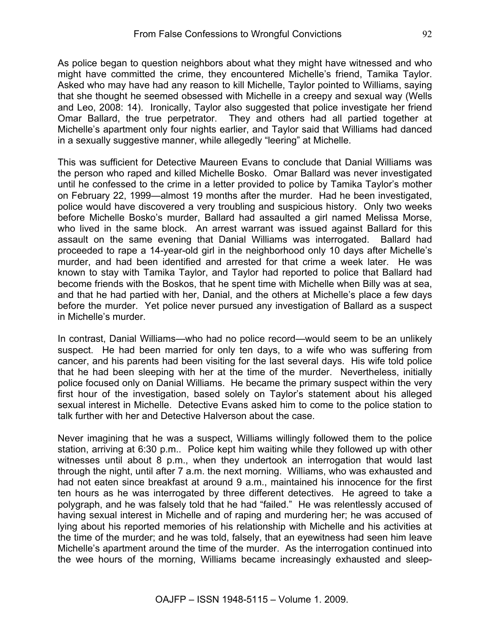As police began to question neighbors about what they might have witnessed and who might have committed the crime, they encountered Michelle's friend, Tamika Taylor. Asked who may have had any reason to kill Michelle, Taylor pointed to Williams, saying that she thought he seemed obsessed with Michelle in a creepy and sexual way (Wells and Leo, 2008: 14). Ironically, Taylor also suggested that police investigate her friend Omar Ballard, the true perpetrator. They and others had all partied together at Michelle's apartment only four nights earlier, and Taylor said that Williams had danced in a sexually suggestive manner, while allegedly "leering" at Michelle.

This was sufficient for Detective Maureen Evans to conclude that Danial Williams was the person who raped and killed Michelle Bosko. Omar Ballard was never investigated until he confessed to the crime in a letter provided to police by Tamika Taylor's mother on February 22, 1999—almost 19 months after the murder. Had he been investigated, police would have discovered a very troubling and suspicious history. Only two weeks before Michelle Bosko's murder, Ballard had assaulted a girl named Melissa Morse, who lived in the same block. An arrest warrant was issued against Ballard for this assault on the same evening that Danial Williams was interrogated. Ballard had proceeded to rape a 14-year-old girl in the neighborhood only 10 days after Michelle's murder, and had been identified and arrested for that crime a week later. He was known to stay with Tamika Taylor, and Taylor had reported to police that Ballard had become friends with the Boskos, that he spent time with Michelle when Billy was at sea, and that he had partied with her, Danial, and the others at Michelle's place a few days before the murder. Yet police never pursued any investigation of Ballard as a suspect in Michelle's murder.

In contrast, Danial Williams—who had no police record—would seem to be an unlikely suspect. He had been married for only ten days, to a wife who was suffering from cancer, and his parents had been visiting for the last several days. His wife told police that he had been sleeping with her at the time of the murder. Nevertheless, initially police focused only on Danial Williams. He became the primary suspect within the very first hour of the investigation, based solely on Taylor's statement about his alleged sexual interest in Michelle. Detective Evans asked him to come to the police station to talk further with her and Detective Halverson about the case.

Never imagining that he was a suspect, Williams willingly followed them to the police station, arriving at 6:30 p.m.. Police kept him waiting while they followed up with other witnesses until about 8 p.m., when they undertook an interrogation that would last through the night, until after 7 a.m. the next morning. Williams, who was exhausted and had not eaten since breakfast at around 9 a.m., maintained his innocence for the first ten hours as he was interrogated by three different detectives. He agreed to take a polygraph, and he was falsely told that he had "failed." He was relentlessly accused of having sexual interest in Michelle and of raping and murdering her; he was accused of lying about his reported memories of his relationship with Michelle and his activities at the time of the murder; and he was told, falsely, that an eyewitness had seen him leave Michelle's apartment around the time of the murder. As the interrogation continued into the wee hours of the morning, Williams became increasingly exhausted and sleep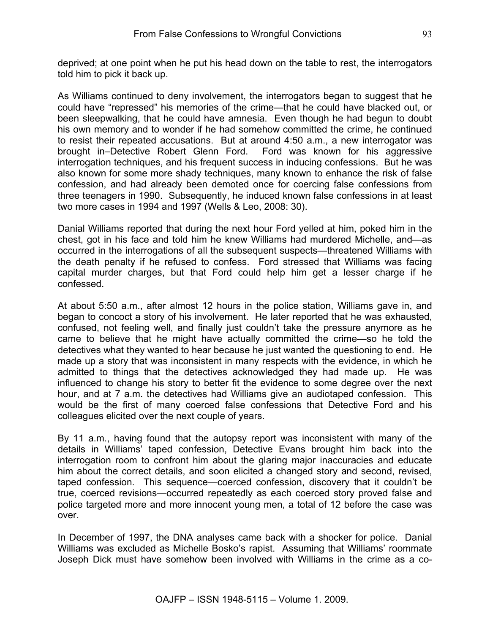deprived; at one point when he put his head down on the table to rest, the interrogators told him to pick it back up.

As Williams continued to deny involvement, the interrogators began to suggest that he could have "repressed" his memories of the crime—that he could have blacked out, or been sleepwalking, that he could have amnesia. Even though he had begun to doubt his own memory and to wonder if he had somehow committed the crime, he continued to resist their repeated accusations. But at around 4:50 a.m., a new interrogator was brought in–Detective Robert Glenn Ford. Ford was known for his aggressive interrogation techniques, and his frequent success in inducing confessions. But he was also known for some more shady techniques, many known to enhance the risk of false confession, and had already been demoted once for coercing false confessions from three teenagers in 1990. Subsequently, he induced known false confessions in at least two more cases in 1994 and 1997 (Wells & Leo, 2008: 30).

Danial Williams reported that during the next hour Ford yelled at him, poked him in the chest, got in his face and told him he knew Williams had murdered Michelle, and—as occurred in the interrogations of all the subsequent suspects—threatened Williams with the death penalty if he refused to confess. Ford stressed that Williams was facing capital murder charges, but that Ford could help him get a lesser charge if he confessed.

At about 5:50 a.m., after almost 12 hours in the police station, Williams gave in, and began to concoct a story of his involvement. He later reported that he was exhausted, confused, not feeling well, and finally just couldn't take the pressure anymore as he came to believe that he might have actually committed the crime—so he told the detectives what they wanted to hear because he just wanted the questioning to end. He made up a story that was inconsistent in many respects with the evidence, in which he admitted to things that the detectives acknowledged they had made up. He was influenced to change his story to better fit the evidence to some degree over the next hour, and at 7 a.m. the detectives had Williams give an audiotaped confession. This would be the first of many coerced false confessions that Detective Ford and his colleagues elicited over the next couple of years.

By 11 a.m., having found that the autopsy report was inconsistent with many of the details in Williams' taped confession, Detective Evans brought him back into the interrogation room to confront him about the glaring major inaccuracies and educate him about the correct details, and soon elicited a changed story and second, revised, taped confession. This sequence—coerced confession, discovery that it couldn't be true, coerced revisions—occurred repeatedly as each coerced story proved false and police targeted more and more innocent young men, a total of 12 before the case was over.

In December of 1997, the DNA analyses came back with a shocker for police. Danial Williams was excluded as Michelle Bosko's rapist. Assuming that Williams' roommate Joseph Dick must have somehow been involved with Williams in the crime as a co-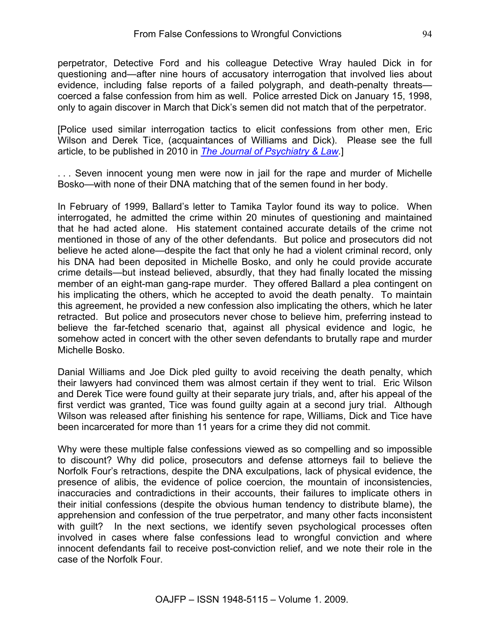perpetrator, Detective Ford and his colleague Detective Wray hauled Dick in for questioning and—after nine hours of accusatory interrogation that involved lies about evidence, including false reports of a failed polygraph, and death-penalty threats coerced a false confession from him as well. Police arrested Dick on January 15, 1998, only to again discover in March that Dick's semen did not match that of the perpetrator.

[Police used similar interrogation tactics to elicit confessions from other men, Eric Wilson and Derek Tice, (acquaintances of Williams and Dick). Please see the full article, to be published in 2010 in *The Journal of Psychiatry & Law.*]

. . . Seven innocent young men were now in jail for the rape and murder of Michelle Bosko—with none of their DNA matching that of the semen found in her body.

In February of 1999, Ballard's letter to Tamika Taylor found its way to police. When interrogated, he admitted the crime within 20 minutes of questioning and maintained that he had acted alone. His statement contained accurate details of the crime not mentioned in those of any of the other defendants. But police and prosecutors did not believe he acted alone—despite the fact that only he had a violent criminal record, only his DNA had been deposited in Michelle Bosko, and only he could provide accurate crime details—but instead believed, absurdly, that they had finally located the missing member of an eight-man gang-rape murder. They offered Ballard a plea contingent on his implicating the others, which he accepted to avoid the death penalty. To maintain this agreement, he provided a new confession also implicating the others, which he later retracted. But police and prosecutors never chose to believe him, preferring instead to believe the far-fetched scenario that, against all physical evidence and logic, he somehow acted in concert with the other seven defendants to brutally rape and murder Michelle Bosko.

Danial Williams and Joe Dick pled guilty to avoid receiving the death penalty, which their lawyers had convinced them was almost certain if they went to trial. Eric Wilson and Derek Tice were found guilty at their separate jury trials, and, after his appeal of the first verdict was granted, Tice was found guilty again at a second jury trial. Although Wilson was released after finishing his sentence for rape, Williams, Dick and Tice have been incarcerated for more than 11 years for a crime they did not commit.

Why were these multiple false confessions viewed as so compelling and so impossible to discount? Why did police, prosecutors and defense attorneys fail to believe the Norfolk Four's retractions, despite the DNA exculpations, lack of physical evidence, the presence of alibis, the evidence of police coercion, the mountain of inconsistencies, inaccuracies and contradictions in their accounts, their failures to implicate others in their initial confessions (despite the obvious human tendency to distribute blame), the apprehension and confession of the true perpetrator, and many other facts inconsistent with guilt? In the next sections, we identify seven psychological processes often involved in cases where false confessions lead to wrongful conviction and where innocent defendants fail to receive post-conviction relief, and we note their role in the case of the Norfolk Four.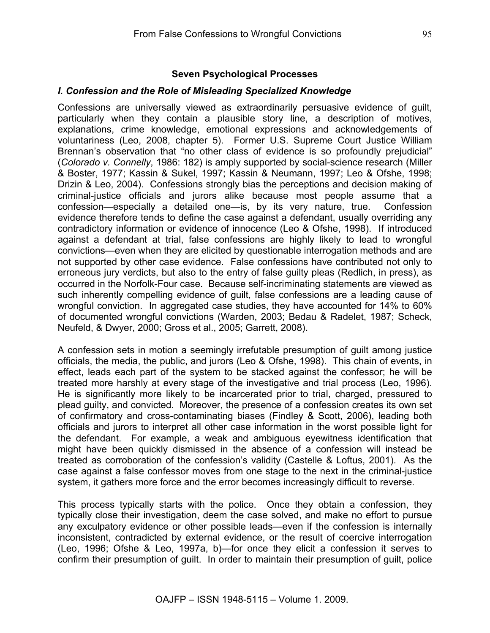#### **Seven Psychological Processes**

#### *I. Confession and the Role of Misleading Specialized Knowledge*

Confessions are universally viewed as extraordinarily persuasive evidence of guilt, particularly when they contain a plausible story line, a description of motives, explanations, crime knowledge, emotional expressions and acknowledgements of voluntariness (Leo, 2008, chapter 5). Former U.S. Supreme Court Justice William Brennan's observation that "no other class of evidence is so profoundly prejudicial" (*Colorado v. Connelly*, 1986: 182) is amply supported by social-science research (Miller & Boster, 1977; Kassin & Sukel, 1997; Kassin & Neumann, 1997; Leo & Ofshe, 1998; Drizin & Leo, 2004). Confessions strongly bias the perceptions and decision making of criminal-justice officials and jurors alike because most people assume that a confession—especially a detailed one—is, by its very nature, true. Confession evidence therefore tends to define the case against a defendant, usually overriding any contradictory information or evidence of innocence (Leo & Ofshe, 1998). If introduced against a defendant at trial, false confessions are highly likely to lead to wrongful convictions—even when they are elicited by questionable interrogation methods and are not supported by other case evidence. False confessions have contributed not only to erroneous jury verdicts, but also to the entry of false guilty pleas (Redlich, in press), as occurred in the Norfolk-Four case. Because self-incriminating statements are viewed as such inherently compelling evidence of guilt, false confessions are a leading cause of wrongful conviction. In aggregated case studies, they have accounted for 14% to 60% of documented wrongful convictions (Warden, 2003; Bedau & Radelet, 1987; Scheck, Neufeld, & Dwyer, 2000; Gross et al., 2005; Garrett, 2008).

A confession sets in motion a seemingly irrefutable presumption of guilt among justice officials, the media, the public, and jurors (Leo & Ofshe, 1998). This chain of events, in effect, leads each part of the system to be stacked against the confessor; he will be treated more harshly at every stage of the investigative and trial process (Leo, 1996). He is significantly more likely to be incarcerated prior to trial, charged, pressured to plead guilty, and convicted. Moreover, the presence of a confession creates its own set of confirmatory and cross-contaminating biases (Findley & Scott, 2006), leading both officials and jurors to interpret all other case information in the worst possible light for the defendant. For example, a weak and ambiguous eyewitness identification that might have been quickly dismissed in the absence of a confession will instead be treated as corroboration of the confession's validity (Castelle & Loftus, 2001). As the case against a false confessor moves from one stage to the next in the criminal-justice system, it gathers more force and the error becomes increasingly difficult to reverse.

This process typically starts with the police. Once they obtain a confession, they typically close their investigation, deem the case solved, and make no effort to pursue any exculpatory evidence or other possible leads—even if the confession is internally inconsistent, contradicted by external evidence, or the result of coercive interrogation (Leo, 1996; Ofshe & Leo, 1997a, b)—for once they elicit a confession it serves to confirm their presumption of guilt. In order to maintain their presumption of guilt, police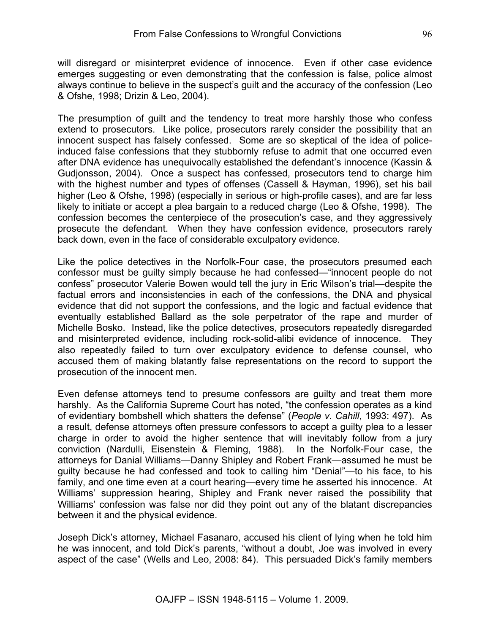will disregard or misinterpret evidence of innocence. Even if other case evidence emerges suggesting or even demonstrating that the confession is false, police almost always continue to believe in the suspect's guilt and the accuracy of the confession (Leo & Ofshe, 1998; Drizin & Leo, 2004).

The presumption of guilt and the tendency to treat more harshly those who confess extend to prosecutors. Like police, prosecutors rarely consider the possibility that an innocent suspect has falsely confessed. Some are so skeptical of the idea of policeinduced false confessions that they stubbornly refuse to admit that one occurred even after DNA evidence has unequivocally established the defendant's innocence (Kassin & Gudjonsson, 2004). Once a suspect has confessed, prosecutors tend to charge him with the highest number and types of offenses (Cassell & Hayman, 1996), set his bail higher (Leo & Ofshe, 1998) (especially in serious or high-profile cases), and are far less likely to initiate or accept a plea bargain to a reduced charge (Leo & Ofshe, 1998). The confession becomes the centerpiece of the prosecution's case, and they aggressively prosecute the defendant. When they have confession evidence, prosecutors rarely back down, even in the face of considerable exculpatory evidence.

Like the police detectives in the Norfolk-Four case, the prosecutors presumed each confessor must be guilty simply because he had confessed—"innocent people do not confess" prosecutor Valerie Bowen would tell the jury in Eric Wilson's trial—despite the factual errors and inconsistencies in each of the confessions, the DNA and physical evidence that did not support the confessions, and the logic and factual evidence that eventually established Ballard as the sole perpetrator of the rape and murder of Michelle Bosko. Instead, like the police detectives, prosecutors repeatedly disregarded and misinterpreted evidence, including rock-solid-alibi evidence of innocence. They also repeatedly failed to turn over exculpatory evidence to defense counsel, who accused them of making blatantly false representations on the record to support the prosecution of the innocent men.

Even defense attorneys tend to presume confessors are guilty and treat them more harshly. As the California Supreme Court has noted, "the confession operates as a kind of evidentiary bombshell which shatters the defense" (*People v. Cahill*, 1993: 497). As a result, defense attorneys often pressure confessors to accept a guilty plea to a lesser charge in order to avoid the higher sentence that will inevitably follow from a jury conviction (Nardulli, Eisenstein & Fleming, 1988). In the Norfolk-Four case, the attorneys for Danial Williams—Danny Shipley and Robert Frank—assumed he must be guilty because he had confessed and took to calling him "Denial"—to his face, to his family, and one time even at a court hearing—every time he asserted his innocence. At Williams' suppression hearing, Shipley and Frank never raised the possibility that Williams' confession was false nor did they point out any of the blatant discrepancies between it and the physical evidence.

Joseph Dick's attorney, Michael Fasanaro, accused his client of lying when he told him he was innocent, and told Dick's parents, "without a doubt, Joe was involved in every aspect of the case" (Wells and Leo, 2008: 84). This persuaded Dick's family members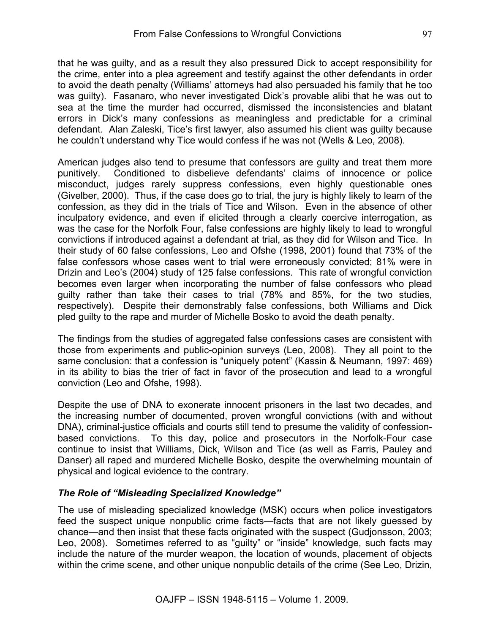that he was guilty, and as a result they also pressured Dick to accept responsibility for the crime, enter into a plea agreement and testify against the other defendants in order to avoid the death penalty (Williams' attorneys had also persuaded his family that he too was guilty). Fasanaro, who never investigated Dick's provable alibi that he was out to sea at the time the murder had occurred, dismissed the inconsistencies and blatant errors in Dick's many confessions as meaningless and predictable for a criminal defendant. Alan Zaleski, Tice's first lawyer, also assumed his client was guilty because he couldn't understand why Tice would confess if he was not (Wells & Leo, 2008).

American judges also tend to presume that confessors are guilty and treat them more punitively. Conditioned to disbelieve defendants' claims of innocence or police misconduct, judges rarely suppress confessions, even highly questionable ones (Givelber, 2000). Thus, if the case does go to trial, the jury is highly likely to learn of the confession, as they did in the trials of Tice and Wilson. Even in the absence of other inculpatory evidence, and even if elicited through a clearly coercive interrogation, as was the case for the Norfolk Four, false confessions are highly likely to lead to wrongful convictions if introduced against a defendant at trial, as they did for Wilson and Tice. In their study of 60 false confessions, Leo and Ofshe (1998, 2001) found that 73% of the false confessors whose cases went to trial were erroneously convicted; 81% were in Drizin and Leo's (2004) study of 125 false confessions. This rate of wrongful conviction becomes even larger when incorporating the number of false confessors who plead guilty rather than take their cases to trial (78% and 85%, for the two studies, respectively). Despite their demonstrably false confessions, both Williams and Dick pled guilty to the rape and murder of Michelle Bosko to avoid the death penalty.

The findings from the studies of aggregated false confessions cases are consistent with those from experiments and public-opinion surveys (Leo, 2008). They all point to the same conclusion: that a confession is "uniquely potent" (Kassin & Neumann, 1997: 469) in its ability to bias the trier of fact in favor of the prosecution and lead to a wrongful conviction (Leo and Ofshe, 1998).

Despite the use of DNA to exonerate innocent prisoners in the last two decades, and the increasing number of documented, proven wrongful convictions (with and without DNA), criminal-justice officials and courts still tend to presume the validity of confessionbased convictions. To this day, police and prosecutors in the Norfolk-Four case continue to insist that Williams, Dick, Wilson and Tice (as well as Farris, Pauley and Danser) all raped and murdered Michelle Bosko, despite the overwhelming mountain of physical and logical evidence to the contrary.

# *The Role of "Misleading Specialized Knowledge"*

The use of misleading specialized knowledge (MSK) occurs when police investigators feed the suspect unique nonpublic crime facts—facts that are not likely guessed by chance—and then insist that these facts originated with the suspect (Gudjonsson, 2003; Leo, 2008). Sometimes referred to as "guilty" or "inside" knowledge, such facts may include the nature of the murder weapon, the location of wounds, placement of objects within the crime scene, and other unique nonpublic details of the crime (See Leo, Drizin,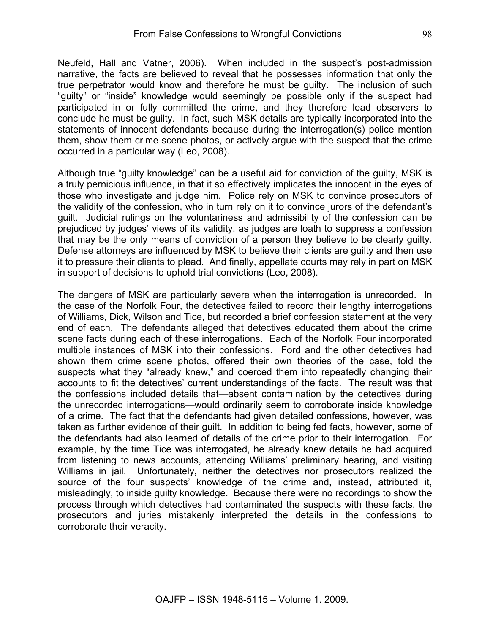Neufeld, Hall and Vatner, 2006). When included in the suspect's post-admission narrative, the facts are believed to reveal that he possesses information that only the true perpetrator would know and therefore he must be guilty. The inclusion of such "guilty" or "inside" knowledge would seemingly be possible only if the suspect had participated in or fully committed the crime, and they therefore lead observers to conclude he must be guilty. In fact, such MSK details are typically incorporated into the statements of innocent defendants because during the interrogation(s) police mention them, show them crime scene photos, or actively argue with the suspect that the crime occurred in a particular way (Leo, 2008).

Although true "guilty knowledge" can be a useful aid for conviction of the guilty, MSK is a truly pernicious influence, in that it so effectively implicates the innocent in the eyes of those who investigate and judge him. Police rely on MSK to convince prosecutors of the validity of the confession, who in turn rely on it to convince jurors of the defendant's guilt. Judicial rulings on the voluntariness and admissibility of the confession can be prejudiced by judges' views of its validity, as judges are loath to suppress a confession that may be the only means of conviction of a person they believe to be clearly guilty. Defense attorneys are influenced by MSK to believe their clients are guilty and then use it to pressure their clients to plead. And finally, appellate courts may rely in part on MSK in support of decisions to uphold trial convictions (Leo, 2008).

The dangers of MSK are particularly severe when the interrogation is unrecorded. In the case of the Norfolk Four, the detectives failed to record their lengthy interrogations of Williams, Dick, Wilson and Tice, but recorded a brief confession statement at the very end of each. The defendants alleged that detectives educated them about the crime scene facts during each of these interrogations. Each of the Norfolk Four incorporated multiple instances of MSK into their confessions. Ford and the other detectives had shown them crime scene photos, offered their own theories of the case, told the suspects what they "already knew," and coerced them into repeatedly changing their accounts to fit the detectives' current understandings of the facts. The result was that the confessions included details that—absent contamination by the detectives during the unrecorded interrogations—would ordinarily seem to corroborate inside knowledge of a crime. The fact that the defendants had given detailed confessions, however, was taken as further evidence of their guilt. In addition to being fed facts, however, some of the defendants had also learned of details of the crime prior to their interrogation. For example, by the time Tice was interrogated, he already knew details he had acquired from listening to news accounts, attending Williams' preliminary hearing, and visiting Williams in jail. Unfortunately, neither the detectives nor prosecutors realized the source of the four suspects' knowledge of the crime and, instead, attributed it, misleadingly, to inside guilty knowledge. Because there were no recordings to show the process through which detectives had contaminated the suspects with these facts, the prosecutors and juries mistakenly interpreted the details in the confessions to corroborate their veracity.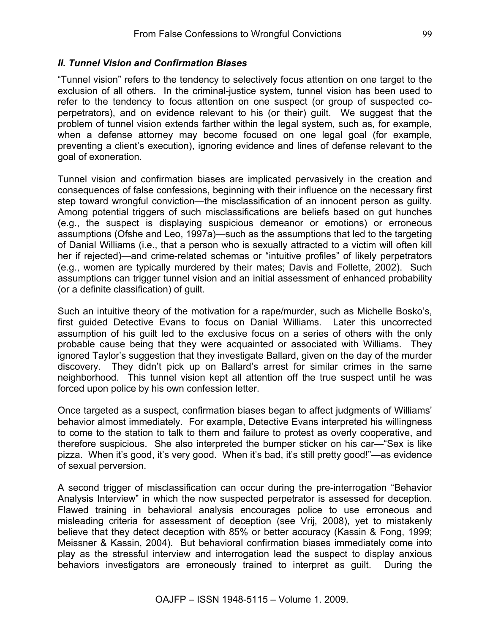#### *II. Tunnel Vision and Confirmation Biases*

"Tunnel vision" refers to the tendency to selectively focus attention on one target to the exclusion of all others. In the criminal-justice system, tunnel vision has been used to refer to the tendency to focus attention on one suspect (or group of suspected coperpetrators), and on evidence relevant to his (or their) guilt. We suggest that the problem of tunnel vision extends farther within the legal system, such as, for example, when a defense attorney may become focused on one legal goal (for example, preventing a client's execution), ignoring evidence and lines of defense relevant to the goal of exoneration.

Tunnel vision and confirmation biases are implicated pervasively in the creation and consequences of false confessions, beginning with their influence on the necessary first step toward wrongful conviction—the misclassification of an innocent person as guilty. Among potential triggers of such misclassifications are beliefs based on gut hunches (e.g., the suspect is displaying suspicious demeanor or emotions) or erroneous assumptions (Ofshe and Leo, 1997a)—such as the assumptions that led to the targeting of Danial Williams (i.e., that a person who is sexually attracted to a victim will often kill her if rejected)—and crime-related schemas or "intuitive profiles" of likely perpetrators (e.g., women are typically murdered by their mates; Davis and Follette, 2002). Such assumptions can trigger tunnel vision and an initial assessment of enhanced probability (or a definite classification) of guilt.

Such an intuitive theory of the motivation for a rape/murder, such as Michelle Bosko's, first guided Detective Evans to focus on Danial Williams. Later this uncorrected assumption of his guilt led to the exclusive focus on a series of others with the only probable cause being that they were acquainted or associated with Williams. They ignored Taylor's suggestion that they investigate Ballard, given on the day of the murder discovery. They didn't pick up on Ballard's arrest for similar crimes in the same neighborhood. This tunnel vision kept all attention off the true suspect until he was forced upon police by his own confession letter.

Once targeted as a suspect, confirmation biases began to affect judgments of Williams' behavior almost immediately. For example, Detective Evans interpreted his willingness to come to the station to talk to them and failure to protest as overly cooperative, and therefore suspicious. She also interpreted the bumper sticker on his car—"Sex is like pizza. When it's good, it's very good. When it's bad, it's still pretty good!"—as evidence of sexual perversion.

A second trigger of misclassification can occur during the pre-interrogation "Behavior Analysis Interview" in which the now suspected perpetrator is assessed for deception. Flawed training in behavioral analysis encourages police to use erroneous and misleading criteria for assessment of deception (see Vrij, 2008), yet to mistakenly believe that they detect deception with 85% or better accuracy (Kassin & Fong, 1999; Meissner & Kassin, 2004). But behavioral confirmation biases immediately come into play as the stressful interview and interrogation lead the suspect to display anxious behaviors investigators are erroneously trained to interpret as guilt. During the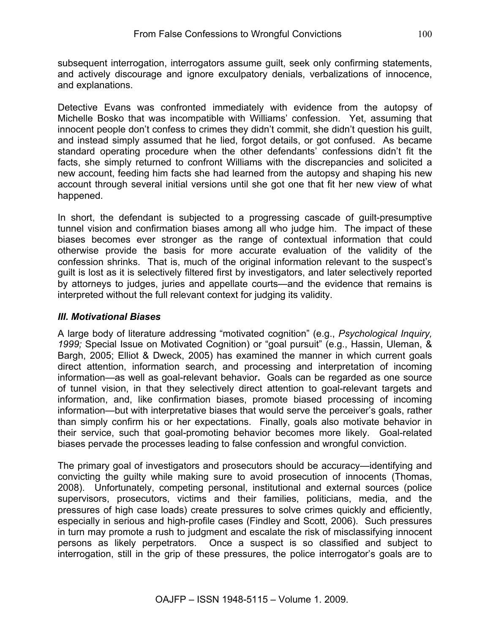subsequent interrogation, interrogators assume guilt, seek only confirming statements, and actively discourage and ignore exculpatory denials, verbalizations of innocence, and explanations.

Detective Evans was confronted immediately with evidence from the autopsy of Michelle Bosko that was incompatible with Williams' confession. Yet, assuming that innocent people don't confess to crimes they didn't commit, she didn't question his guilt, and instead simply assumed that he lied, forgot details, or got confused. As became standard operating procedure when the other defendants' confessions didn't fit the facts, she simply returned to confront Williams with the discrepancies and solicited a new account, feeding him facts she had learned from the autopsy and shaping his new account through several initial versions until she got one that fit her new view of what happened.

In short, the defendant is subjected to a progressing cascade of guilt-presumptive tunnel vision and confirmation biases among all who judge him. The impact of these biases becomes ever stronger as the range of contextual information that could otherwise provide the basis for more accurate evaluation of the validity of the confession shrinks. That is, much of the original information relevant to the suspect's guilt is lost as it is selectively filtered first by investigators, and later selectively reported by attorneys to judges, juries and appellate courts—and the evidence that remains is interpreted without the full relevant context for judging its validity.

#### *III. Motivational Biases*

A large body of literature addressing "motivated cognition" (e.g., *Psychological Inquiry, 1999;* Special Issue on Motivated Cognition) or "goal pursuit" (e.g., Hassin, Uleman, & Bargh, 2005; Elliot & Dweck, 2005) has examined the manner in which current goals direct attention, information search, and processing and interpretation of incoming information—as well as goal-relevant behavior**.** Goals can be regarded as one source of tunnel vision, in that they selectively direct attention to goal-relevant targets and information, and, like confirmation biases, promote biased processing of incoming information—but with interpretative biases that would serve the perceiver's goals, rather than simply confirm his or her expectations. Finally, goals also motivate behavior in their service, such that goal-promoting behavior becomes more likely. Goal-related biases pervade the processes leading to false confession and wrongful conviction.

The primary goal of investigators and prosecutors should be accuracy—identifying and convicting the guilty while making sure to avoid prosecution of innocents (Thomas, 2008). Unfortunately, competing personal, institutional and external sources (police supervisors, prosecutors, victims and their families, politicians, media, and the pressures of high case loads) create pressures to solve crimes quickly and efficiently, especially in serious and high-profile cases (Findley and Scott, 2006). Such pressures in turn may promote a rush to judgment and escalate the risk of misclassifying innocent persons as likely perpetrators. Once a suspect is so classified and subject to interrogation, still in the grip of these pressures, the police interrogator's goals are to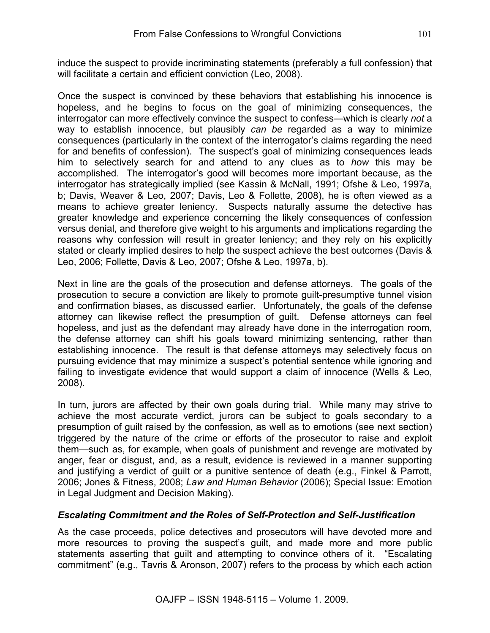induce the suspect to provide incriminating statements (preferably a full confession) that will facilitate a certain and efficient conviction (Leo, 2008).

Once the suspect is convinced by these behaviors that establishing his innocence is hopeless, and he begins to focus on the goal of minimizing consequences, the interrogator can more effectively convince the suspect to confess—which is clearly *not* a way to establish innocence, but plausibly *can be* regarded as a way to minimize consequences (particularly in the context of the interrogator's claims regarding the need for and benefits of confession). The suspect's goal of minimizing consequences leads him to selectively search for and attend to any clues as to *how* this may be accomplished. The interrogator's good will becomes more important because, as the interrogator has strategically implied (see Kassin & McNall, 1991; Ofshe & Leo, 1997a, b; Davis, Weaver & Leo, 2007; Davis, Leo & Follette, 2008), he is often viewed as a means to achieve greater leniency. Suspects naturally assume the detective has greater knowledge and experience concerning the likely consequences of confession versus denial, and therefore give weight to his arguments and implications regarding the reasons why confession will result in greater leniency; and they rely on his explicitly stated or clearly implied desires to help the suspect achieve the best outcomes (Davis & Leo, 2006; Follette, Davis & Leo, 2007; Ofshe & Leo, 1997a, b).

Next in line are the goals of the prosecution and defense attorneys. The goals of the prosecution to secure a conviction are likely to promote guilt-presumptive tunnel vision and confirmation biases, as discussed earlier. Unfortunately, the goals of the defense attorney can likewise reflect the presumption of guilt. Defense attorneys can feel hopeless, and just as the defendant may already have done in the interrogation room, the defense attorney can shift his goals toward minimizing sentencing, rather than establishing innocence. The result is that defense attorneys may selectively focus on pursuing evidence that may minimize a suspect's potential sentence while ignoring and failing to investigate evidence that would support a claim of innocence (Wells & Leo, 2008).

In turn, jurors are affected by their own goals during trial. While many may strive to achieve the most accurate verdict, jurors can be subject to goals secondary to a presumption of guilt raised by the confession, as well as to emotions (see next section) triggered by the nature of the crime or efforts of the prosecutor to raise and exploit them—such as, for example, when goals of punishment and revenge are motivated by anger, fear or disgust, and, as a result, evidence is reviewed in a manner supporting and justifying a verdict of guilt or a punitive sentence of death (e.g., Finkel & Parrott, 2006; Jones & Fitness, 2008; *Law and Human Behavior* (2006); Special Issue: Emotion in Legal Judgment and Decision Making).

# *Escalating Commitment and the Roles of Self-Protection and Self-Justification*

As the case proceeds, police detectives and prosecutors will have devoted more and more resources to proving the suspect's guilt, and made more and more public statements asserting that guilt and attempting to convince others of it. "Escalating commitment" (e.g., Tavris & Aronson, 2007) refers to the process by which each action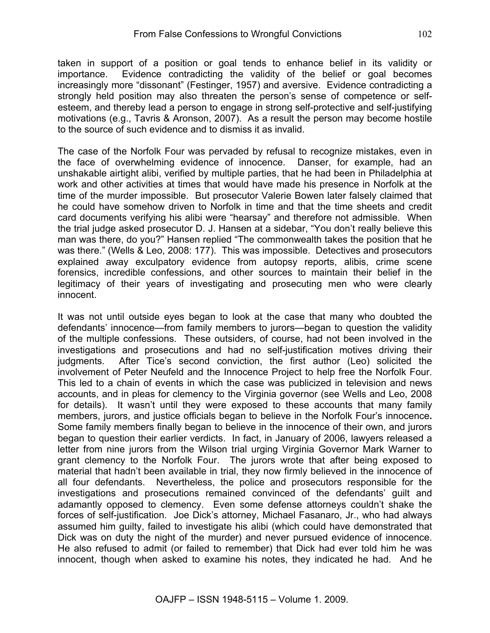taken in support of a position or goal tends to enhance belief in its validity or importance. Evidence contradicting the validity of the belief or goal becomes increasingly more "dissonant" (Festinger, 1957) and aversive. Evidence contradicting a strongly held position may also threaten the person's sense of competence or selfesteem, and thereby lead a person to engage in strong self-protective and self-justifying motivations (e.g., Tavris & Aronson, 2007). As a result the person may become hostile to the source of such evidence and to dismiss it as invalid.

The case of the Norfolk Four was pervaded by refusal to recognize mistakes, even in the face of overwhelming evidence of innocence. Danser, for example, had an unshakable airtight alibi, verified by multiple parties, that he had been in Philadelphia at work and other activities at times that would have made his presence in Norfolk at the time of the murder impossible. But prosecutor Valerie Bowen later falsely claimed that he could have somehow driven to Norfolk in time and that the time sheets and credit card documents verifying his alibi were "hearsay" and therefore not admissible. When the trial judge asked prosecutor D. J. Hansen at a sidebar, "You don't really believe this man was there, do you?" Hansen replied "The commonwealth takes the position that he was there." (Wells & Leo, 2008: 177). This was impossible. Detectives and prosecutors explained away exculpatory evidence from autopsy reports, alibis, crime scene forensics, incredible confessions, and other sources to maintain their belief in the legitimacy of their years of investigating and prosecuting men who were clearly innocent.

It was not until outside eyes began to look at the case that many who doubted the defendants' innocence—from family members to jurors—began to question the validity of the multiple confessions. These outsiders, of course, had not been involved in the investigations and prosecutions and had no self-justification motives driving their judgments. After Tice's second conviction, the first author (Leo) solicited the involvement of Peter Neufeld and the Innocence Project to help free the Norfolk Four. This led to a chain of events in which the case was publicized in television and news accounts, and in pleas for clemency to the Virginia governor (see Wells and Leo, 2008 for details). It wasn't until they were exposed to these accounts that many family members, jurors, and justice officials began to believe in the Norfolk Four's innocence**.**  Some family members finally began to believe in the innocence of their own, and jurors began to question their earlier verdicts. In fact, in January of 2006, lawyers released a letter from nine jurors from the Wilson trial urging Virginia Governor Mark Warner to grant clemency to the Norfolk Four. The jurors wrote that after being exposed to material that hadn't been available in trial, they now firmly believed in the innocence of all four defendants. Nevertheless, the police and prosecutors responsible for the investigations and prosecutions remained convinced of the defendants' guilt and adamantly opposed to clemency. Even some defense attorneys couldn't shake the forces of self-justification. Joe Dick's attorney, Michael Fasanaro, Jr., who had always assumed him guilty, failed to investigate his alibi (which could have demonstrated that Dick was on duty the night of the murder) and never pursued evidence of innocence. He also refused to admit (or failed to remember) that Dick had ever told him he was innocent, though when asked to examine his notes, they indicated he had. And he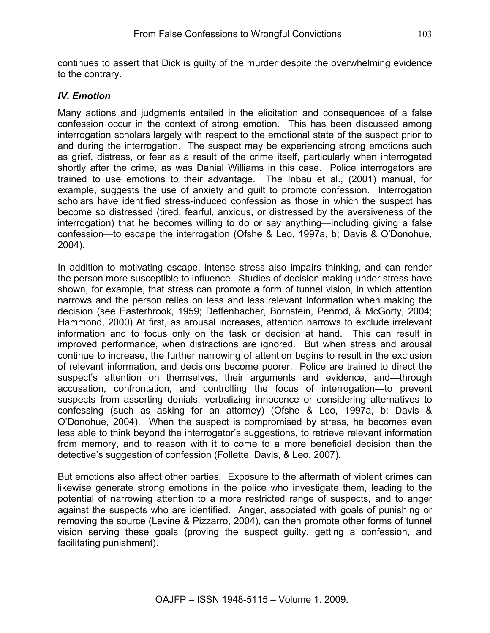continues to assert that Dick is guilty of the murder despite the overwhelming evidence to the contrary.

#### *IV. Emotion*

Many actions and judgments entailed in the elicitation and consequences of a false confession occur in the context of strong emotion. This has been discussed among interrogation scholars largely with respect to the emotional state of the suspect prior to and during the interrogation. The suspect may be experiencing strong emotions such as grief, distress, or fear as a result of the crime itself, particularly when interrogated shortly after the crime, as was Danial Williams in this case. Police interrogators are trained to use emotions to their advantage. The Inbau et al., (2001) manual, for example, suggests the use of anxiety and guilt to promote confession. Interrogation scholars have identified stress-induced confession as those in which the suspect has become so distressed (tired, fearful, anxious, or distressed by the aversiveness of the interrogation) that he becomes willing to do or say anything—including giving a false confession—to escape the interrogation (Ofshe & Leo, 1997a, b; Davis & O'Donohue, 2004).

In addition to motivating escape, intense stress also impairs thinking, and can render the person more susceptible to influence. Studies of decision making under stress have shown, for example, that stress can promote a form of tunnel vision, in which attention narrows and the person relies on less and less relevant information when making the decision (see Easterbrook, 1959; Deffenbacher, Bornstein, Penrod, & McGorty, 2004; Hammond, 2000) At first, as arousal increases, attention narrows to exclude irrelevant information and to focus only on the task or decision at hand. This can result in improved performance, when distractions are ignored. But when stress and arousal continue to increase, the further narrowing of attention begins to result in the exclusion of relevant information, and decisions become poorer. Police are trained to direct the suspect's attention on themselves, their arguments and evidence, and—through accusation, confrontation, and controlling the focus of interrogation—to prevent suspects from asserting denials, verbalizing innocence or considering alternatives to confessing (such as asking for an attorney) (Ofshe & Leo, 1997a, b; Davis & O'Donohue, 2004). When the suspect is compromised by stress, he becomes even less able to think beyond the interrogator's suggestions, to retrieve relevant information from memory, and to reason with it to come to a more beneficial decision than the detective's suggestion of confession (Follette, Davis, & Leo, 2007)**.**

But emotions also affect other parties. Exposure to the aftermath of violent crimes can likewise generate strong emotions in the police who investigate them, leading to the potential of narrowing attention to a more restricted range of suspects, and to anger against the suspects who are identified. Anger, associated with goals of punishing or removing the source (Levine & Pizzarro, 2004), can then promote other forms of tunnel vision serving these goals (proving the suspect guilty, getting a confession, and facilitating punishment).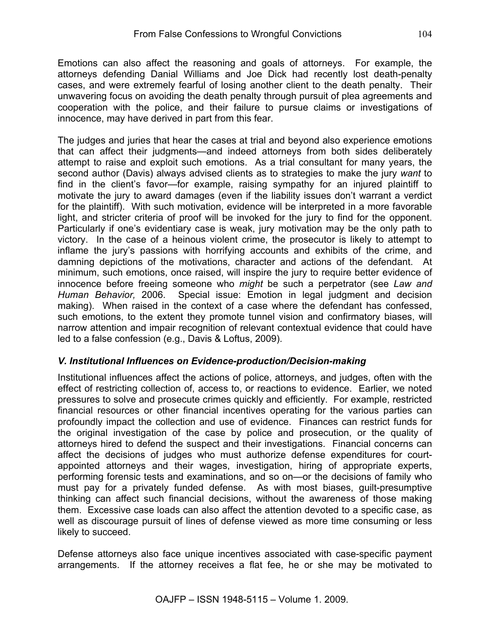Emotions can also affect the reasoning and goals of attorneys. For example, the attorneys defending Danial Williams and Joe Dick had recently lost death-penalty cases, and were extremely fearful of losing another client to the death penalty. Their unwavering focus on avoiding the death penalty through pursuit of plea agreements and cooperation with the police, and their failure to pursue claims or investigations of innocence, may have derived in part from this fear.

The judges and juries that hear the cases at trial and beyond also experience emotions that can affect their judgments—and indeed attorneys from both sides deliberately attempt to raise and exploit such emotions. As a trial consultant for many years, the second author (Davis) always advised clients as to strategies to make the jury *want* to find in the client's favor—for example, raising sympathy for an injured plaintiff to motivate the jury to award damages (even if the liability issues don't warrant a verdict for the plaintiff). With such motivation, evidence will be interpreted in a more favorable light, and stricter criteria of proof will be invoked for the jury to find for the opponent. Particularly if one's evidentiary case is weak, jury motivation may be the only path to victory. In the case of a heinous violent crime, the prosecutor is likely to attempt to inflame the jury's passions with horrifying accounts and exhibits of the crime, and damning depictions of the motivations, character and actions of the defendant. At minimum, such emotions, once raised, will inspire the jury to require better evidence of innocence before freeing someone who *might* be such a perpetrator (see *Law and Human Behavior,* 2006. Special issue: Emotion in legal judgment and decision making). When raised in the context of a case where the defendant has confessed, such emotions, to the extent they promote tunnel vision and confirmatory biases, will narrow attention and impair recognition of relevant contextual evidence that could have led to a false confession (e.g., Davis & Loftus, 2009).

# *V. Institutional Influences on Evidence-production/Decision-making*

Institutional influences affect the actions of police, attorneys, and judges, often with the effect of restricting collection of, access to, or reactions to evidence. Earlier, we noted pressures to solve and prosecute crimes quickly and efficiently. For example, restricted financial resources or other financial incentives operating for the various parties can profoundly impact the collection and use of evidence. Finances can restrict funds for the original investigation of the case by police and prosecution, or the quality of attorneys hired to defend the suspect and their investigations. Financial concerns can affect the decisions of judges who must authorize defense expenditures for courtappointed attorneys and their wages, investigation, hiring of appropriate experts, performing forensic tests and examinations, and so on—or the decisions of family who must pay for a privately funded defense. As with most biases, guilt-presumptive thinking can affect such financial decisions, without the awareness of those making them. Excessive case loads can also affect the attention devoted to a specific case, as well as discourage pursuit of lines of defense viewed as more time consuming or less likely to succeed.

Defense attorneys also face unique incentives associated with case-specific payment arrangements. If the attorney receives a flat fee, he or she may be motivated to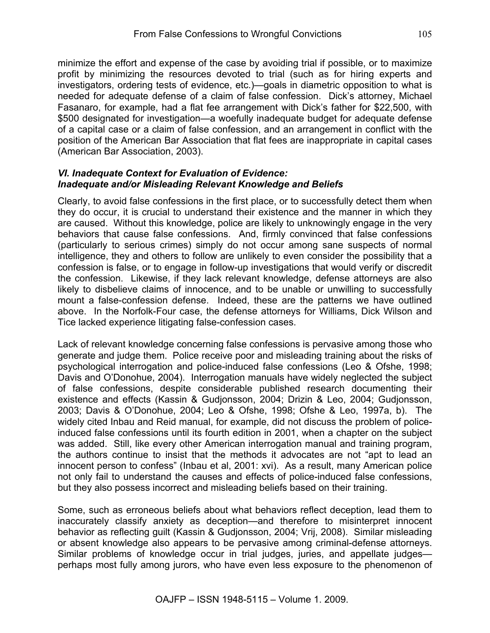minimize the effort and expense of the case by avoiding trial if possible, or to maximize profit by minimizing the resources devoted to trial (such as for hiring experts and investigators, ordering tests of evidence, etc.)—goals in diametric opposition to what is needed for adequate defense of a claim of false confession. Dick's attorney, Michael Fasanaro, for example, had a flat fee arrangement with Dick's father for \$22,500, with \$500 designated for investigation—a woefully inadequate budget for adequate defense of a capital case or a claim of false confession, and an arrangement in conflict with the position of the American Bar Association that flat fees are inappropriate in capital cases (American Bar Association, 2003).

#### *VI. Inadequate Context for Evaluation of Evidence: Inadequate and/or Misleading Relevant Knowledge and Beliefs*

Clearly, to avoid false confessions in the first place, or to successfully detect them when they do occur, it is crucial to understand their existence and the manner in which they are caused. Without this knowledge, police are likely to unknowingly engage in the very behaviors that cause false confessions. And, firmly convinced that false confessions (particularly to serious crimes) simply do not occur among sane suspects of normal intelligence, they and others to follow are unlikely to even consider the possibility that a confession is false, or to engage in follow-up investigations that would verify or discredit the confession. Likewise, if they lack relevant knowledge, defense attorneys are also likely to disbelieve claims of innocence, and to be unable or unwilling to successfully mount a false-confession defense. Indeed, these are the patterns we have outlined above. In the Norfolk-Four case, the defense attorneys for Williams, Dick Wilson and Tice lacked experience litigating false-confession cases.

Lack of relevant knowledge concerning false confessions is pervasive among those who generate and judge them. Police receive poor and misleading training about the risks of psychological interrogation and police-induced false confessions (Leo & Ofshe, 1998; Davis and O'Donohue, 2004). Interrogation manuals have widely neglected the subject of false confessions, despite considerable published research documenting their existence and effects (Kassin & Gudjonsson, 2004; Drizin & Leo, 2004; Gudjonsson, 2003; Davis & O'Donohue, 2004; Leo & Ofshe, 1998; Ofshe & Leo, 1997a, b). The widely cited Inbau and Reid manual, for example, did not discuss the problem of policeinduced false confessions until its fourth edition in 2001, when a chapter on the subject was added. Still, like every other American interrogation manual and training program, the authors continue to insist that the methods it advocates are not "apt to lead an innocent person to confess" (Inbau et al, 2001: xvi). As a result, many American police not only fail to understand the causes and effects of police-induced false confessions, but they also possess incorrect and misleading beliefs based on their training.

Some, such as erroneous beliefs about what behaviors reflect deception, lead them to inaccurately classify anxiety as deception—and therefore to misinterpret innocent behavior as reflecting guilt (Kassin & Gudjonsson, 2004; Vrij, 2008). Similar misleading or absent knowledge also appears to be pervasive among criminal-defense attorneys. Similar problems of knowledge occur in trial judges, juries, and appellate judges perhaps most fully among jurors, who have even less exposure to the phenomenon of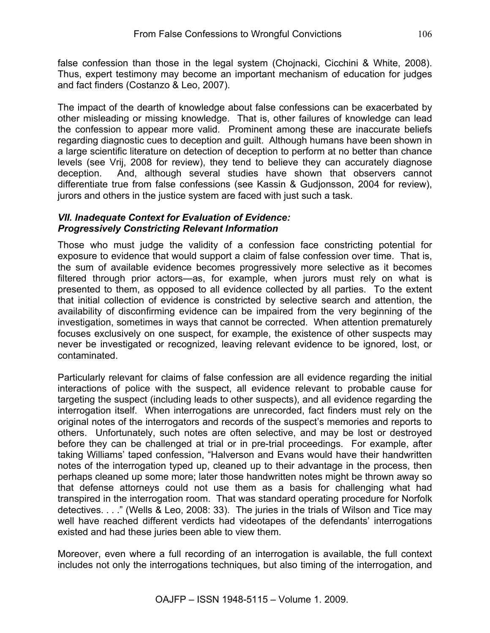false confession than those in the legal system (Chojnacki, Cicchini & White, 2008). Thus, expert testimony may become an important mechanism of education for judges and fact finders (Costanzo & Leo, 2007).

The impact of the dearth of knowledge about false confessions can be exacerbated by other misleading or missing knowledge. That is, other failures of knowledge can lead the confession to appear more valid. Prominent among these are inaccurate beliefs regarding diagnostic cues to deception and guilt. Although humans have been shown in a large scientific literature on detection of deception to perform at no better than chance levels (see Vrij, 2008 for review), they tend to believe they can accurately diagnose deception. And, although several studies have shown that observers cannot differentiate true from false confessions (see Kassin & Gudjonsson, 2004 for review), jurors and others in the justice system are faced with just such a task.

#### *VII. Inadequate Context for Evaluation of Evidence: Progressively Constricting Relevant Information*

Those who must judge the validity of a confession face constricting potential for exposure to evidence that would support a claim of false confession over time. That is, the sum of available evidence becomes progressively more selective as it becomes filtered through prior actors—as, for example, when jurors must rely on what is presented to them, as opposed to all evidence collected by all parties. To the extent that initial collection of evidence is constricted by selective search and attention, the availability of disconfirming evidence can be impaired from the very beginning of the investigation, sometimes in ways that cannot be corrected. When attention prematurely focuses exclusively on one suspect, for example, the existence of other suspects may never be investigated or recognized, leaving relevant evidence to be ignored, lost, or contaminated.

Particularly relevant for claims of false confession are all evidence regarding the initial interactions of police with the suspect, all evidence relevant to probable cause for targeting the suspect (including leads to other suspects), and all evidence regarding the interrogation itself. When interrogations are unrecorded, fact finders must rely on the original notes of the interrogators and records of the suspect's memories and reports to others. Unfortunately, such notes are often selective, and may be lost or destroyed before they can be challenged at trial or in pre-trial proceedings. For example, after taking Williams' taped confession, "Halverson and Evans would have their handwritten notes of the interrogation typed up, cleaned up to their advantage in the process, then perhaps cleaned up some more; later those handwritten notes might be thrown away so that defense attorneys could not use them as a basis for challenging what had transpired in the interrogation room. That was standard operating procedure for Norfolk detectives. . . ." (Wells & Leo, 2008: 33). The juries in the trials of Wilson and Tice may well have reached different verdicts had videotapes of the defendants' interrogations existed and had these juries been able to view them.

Moreover, even where a full recording of an interrogation is available, the full context includes not only the interrogations techniques, but also timing of the interrogation, and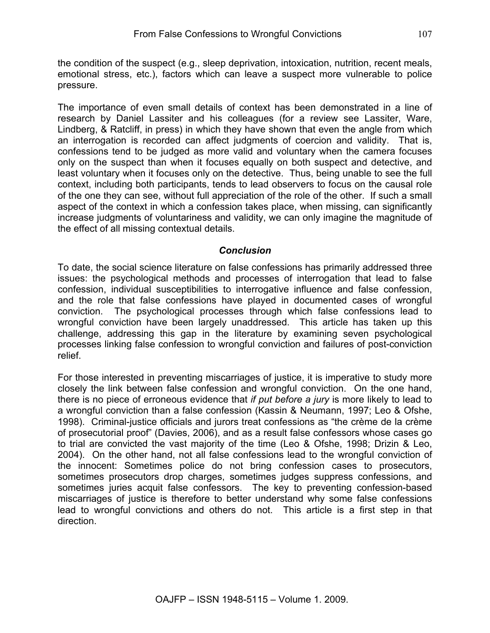the condition of the suspect (e.g., sleep deprivation, intoxication, nutrition, recent meals, emotional stress, etc.), factors which can leave a suspect more vulnerable to police pressure.

The importance of even small details of context has been demonstrated in a line of research by Daniel Lassiter and his colleagues (for a review see Lassiter, Ware, Lindberg, & Ratcliff, in press) in which they have shown that even the angle from which an interrogation is recorded can affect judgments of coercion and validity. That is, confessions tend to be judged as more valid and voluntary when the camera focuses only on the suspect than when it focuses equally on both suspect and detective, and least voluntary when it focuses only on the detective. Thus, being unable to see the full context, including both participants, tends to lead observers to focus on the causal role of the one they can see, without full appreciation of the role of the other. If such a small aspect of the context in which a confession takes place, when missing, can significantly increase judgments of voluntariness and validity, we can only imagine the magnitude of the effect of all missing contextual details.

#### *Conclusion*

To date, the social science literature on false confessions has primarily addressed three issues: the psychological methods and processes of interrogation that lead to false confession, individual susceptibilities to interrogative influence and false confession, and the role that false confessions have played in documented cases of wrongful conviction. The psychological processes through which false confessions lead to wrongful conviction have been largely unaddressed. This article has taken up this challenge, addressing this gap in the literature by examining seven psychological processes linking false confession to wrongful conviction and failures of post-conviction relief.

For those interested in preventing miscarriages of justice, it is imperative to study more closely the link between false confession and wrongful conviction. On the one hand, there is no piece of erroneous evidence that *if put before a jury* is more likely to lead to a wrongful conviction than a false confession (Kassin & Neumann, 1997; Leo & Ofshe, 1998). Criminal-justice officials and jurors treat confessions as "the crème de la crème of prosecutorial proof" (Davies, 2006), and as a result false confessors whose cases go to trial are convicted the vast majority of the time (Leo & Ofshe, 1998; Drizin & Leo, 2004). On the other hand, not all false confessions lead to the wrongful conviction of the innocent: Sometimes police do not bring confession cases to prosecutors, sometimes prosecutors drop charges, sometimes judges suppress confessions, and sometimes juries acquit false confessors. The key to preventing confession-based miscarriages of justice is therefore to better understand why some false confessions lead to wrongful convictions and others do not. This article is a first step in that direction.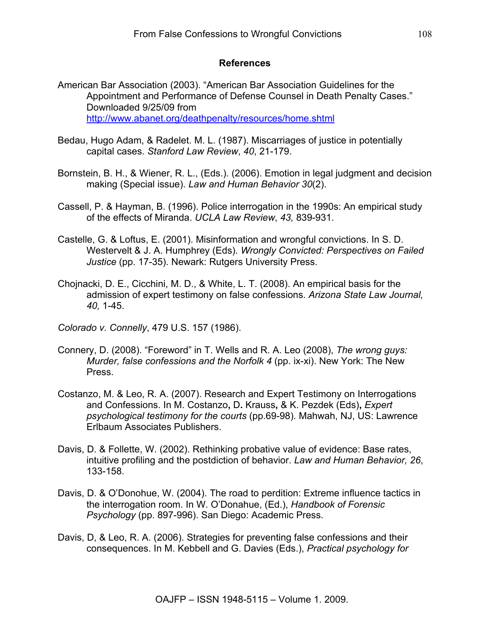#### **References**

- American Bar Association (2003). "American Bar Association Guidelines for the Appointment and Performance of Defense Counsel in Death Penalty Cases." Downloaded 9/25/09 from http://www.abanet.org/deathpenalty/resources/home.shtml
- Bedau, Hugo Adam, & Radelet. M. L. (1987). Miscarriages of justice in potentially capital cases. *Stanford Law Review*, *40*, 21-179.
- Bornstein, B. H., & Wiener, R. L., (Eds.). (2006). Emotion in legal judgment and decision making (Special issue). *Law and Human Behavior 30*(2).
- Cassell, P. & Hayman, B. (1996). Police interrogation in the 1990s: An empirical study of the effects of Miranda. *UCLA Law Review*, *43,* 839-931.
- Castelle, G. & Loftus, E. (2001). Misinformation and wrongful convictions. In S. D. Westervelt & J. A. Humphrey (Eds). *Wrongly Convicted: Perspectives on Failed Justice* (pp. 17-35). Newark: Rutgers University Press.
- Chojnacki, D. E., Cicchini, M. D., & White, L. T. (2008). An empirical basis for the admission of expert testimony on false confessions. *Arizona State Law Journal, 40,* 1-45.
- *Colorado v. Connelly*, 479 U.S. 157 (1986).
- Connery, D. (2008). "Foreword" in T. Wells and R. A. Leo (2008), *The wrong guys: Murder, false confessions and the Norfolk 4* (pp. ix-xi). New York: The New Press.
- Costanzo, M. & Leo, R. A. (2007). Research and Expert Testimony on Interrogations and Confessions. In M. Costanzo**,** D**.** Krauss**,** & K. Pezdek (Eds)**,** *Expert psychological testimony for the courts* (pp.69-98). Mahwah, NJ, US: Lawrence Erlbaum Associates Publishers.
- Davis, D. & Follette, W. (2002). Rethinking probative value of evidence: Base rates, intuitive profiling and the postdiction of behavior. *Law and Human Behavior, 26*, 133-158.
- Davis, D. & O'Donohue, W. (2004). The road to perdition: Extreme influence tactics in the interrogation room. In W. O'Donahue, (Ed.), *Handbook of Forensic Psychology* (pp. 897-996). San Diego: Academic Press.
- Davis, D, & Leo, R. A. (2006). Strategies for preventing false confessions and their consequences. In M. Kebbell and G. Davies (Eds.), *Practical psychology for*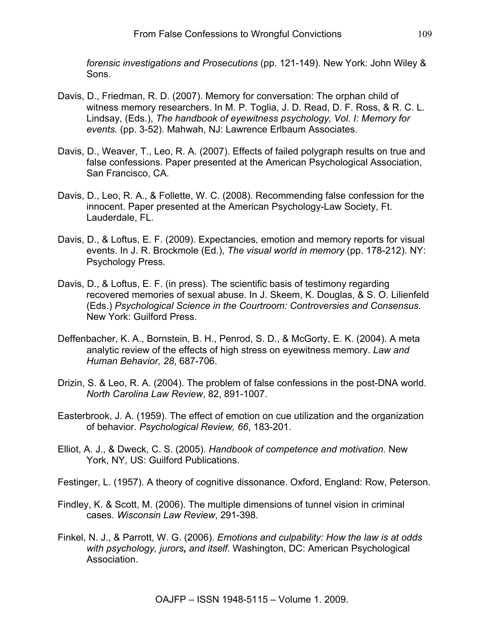*forensic investigations and Prosecutions* (pp. 121-149). New York: John Wiley & Sons.

- Davis, D., Friedman, R. D. (2007). Memory for conversation: The orphan child of witness memory researchers. In M. P. Toglia, J. D. Read, D. F. Ross, & R. C. L. Lindsay, (Eds.), *The handbook of eyewitness psychology, Vol. I: Memory for events.* (pp. 3-52). Mahwah, NJ: Lawrence Erlbaum Associates.
- Davis, D., Weaver, T., Leo, R. A. (2007). Effects of failed polygraph results on true and false confessions. Paper presented at the American Psychological Association, San Francisco, CA.
- Davis, D., Leo, R. A., & Follette, W. C. (2008). Recommending false confession for the innocent. Paper presented at the American Psychology-Law Society, Ft. Lauderdale, FL.
- Davis, D., & Loftus, E. F. (2009). Expectancies, emotion and memory reports for visual events. In J. R. Brockmole (Ed.), *The visual world in memory* (pp. 178-212). NY: Psychology Press.
- Davis, D., & Loftus, E. F. (in press). The scientific basis of testimony regarding recovered memories of sexual abuse. In J. Skeem, K. Douglas, & S. O. Lilienfeld (Eds.) *Psychological Science in the Courtroom: Controversies and Consensus.* New York: Guilford Press.
- Deffenbacher, K. A., Bornstein, B. H., Penrod, S. D., & McGorty, E. K. (2004). A meta analytic review of the effects of high stress on eyewitness memory. *Law and Human Behavior, 28*, 687-706.
- Drizin, S. & Leo, R. A. (2004). The problem of false confessions in the post-DNA world. *North Carolina Law Review*, 82, 891-1007.
- Easterbrook, J. A. (1959). The effect of emotion on cue utilization and the organization of behavior. *Psychological Review, 66*, 183-201.
- Elliot, A. J., & Dweck, C. S. (2005). *Handbook of competence and motivation.* New York, NY, US: Guilford Publications.
- Festinger, L. (1957). A theory of cognitive dissonance. Oxford, England: Row, Peterson.
- Findley, K. & Scott, M. (2006). The multiple dimensions of tunnel vision in criminal cases. *Wisconsin Law Review*, 291-398.
- Finkel, N. J., & Parrott, W. G. (2006). *Emotions and culpability: How the law is at odds with psychology, jurors, and itself.* Washington, DC: American Psychological Association.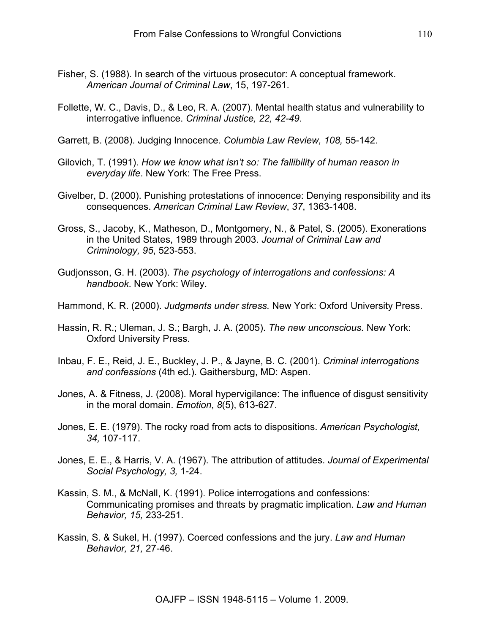- Fisher, S. (1988). In search of the virtuous prosecutor: A conceptual framework. *American Journal of Criminal Law*, 15, 197-261.
- Follette, W. C., Davis, D., & Leo, R. A. (2007). Mental health status and vulnerability to interrogative influence. *Criminal Justice, 22, 42-49.*
- Garrett, B. (2008). Judging Innocence. *Columbia Law Review, 108,* 55-142.
- Gilovich, T. (1991). *How we know what isn't so: The fallibility of human reason in everyday life*. New York: The Free Press.
- Givelber, D. (2000). Punishing protestations of innocence: Denying responsibility and its consequences. *American Criminal Law Review*, *37*, 1363-1408.
- Gross, S., Jacoby, K., Matheson, D., Montgomery, N., & Patel, S. (2005). Exonerations in the United States, 1989 through 2003. *Journal of Criminal Law and Criminology, 95*, 523-553.
- Gudjonsson, G. H. (2003). *The psychology of interrogations and confessions: A handbook*. New York: Wiley.
- Hammond, K. R. (2000). *Judgments under stress.* New York: Oxford University Press.
- Hassin, R. R.; Uleman, J. S.; Bargh, J. A. (2005). *The new unconscious.* New York: Oxford University Press.
- Inbau, F. E., Reid, J. E., Buckley, J. P., & Jayne, B. C. (2001). *Criminal interrogations and confessions* (4th ed.). Gaithersburg, MD: Aspen.
- Jones, A. & Fitness, J. (2008). Moral hypervigilance: The influence of disgust sensitivity in the moral domain. *Emotion*, *8*(5), 613-627.
- Jones, E. E. (1979). The rocky road from acts to dispositions. *American Psychologist, 34,* 107-117.
- Jones, E. E., & Harris, V. A. (1967). The attribution of attitudes. *Journal of Experimental Social Psychology, 3,* 1-24.
- Kassin, S. M., & McNall, K. (1991). Police interrogations and confessions: Communicating promises and threats by pragmatic implication. *Law and Human Behavior, 15,* 233-251.
- Kassin, S. & Sukel, H. (1997). Coerced confessions and the jury. *Law and Human Behavior, 21,* 27-46.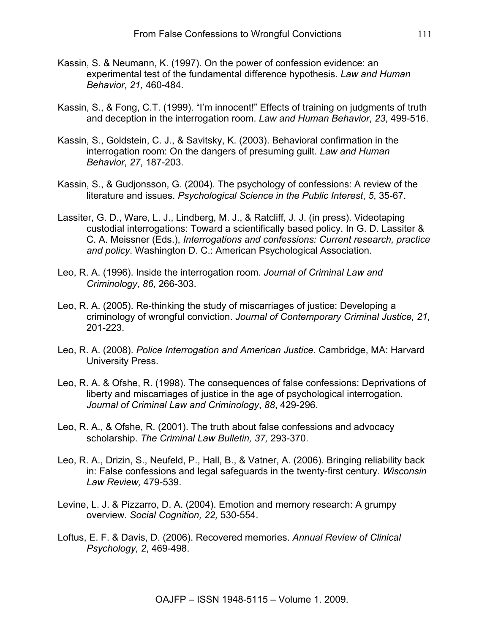- Kassin, S. & Neumann, K. (1997). On the power of confession evidence: an experimental test of the fundamental difference hypothesis. *Law and Human Behavior*, *21,* 460-484.
- Kassin, S., & Fong, C.T. (1999). "I'm innocent!" Effects of training on judgments of truth and deception in the interrogation room. *Law and Human Behavior*, *23*, 499-516.
- Kassin, S., Goldstein, C. J., & Savitsky, K. (2003). Behavioral confirmation in the interrogation room: On the dangers of presuming guilt. *Law and Human Behavior*, *27*, 187-203.
- Kassin, S., & Gudjonsson, G. (2004). The psychology of confessions: A review of the literature and issues. *Psychological Science in the Public Interest*, *5*, 35-67.
- Lassiter, G. D., Ware, L. J., Lindberg, M. J., & Ratcliff, J. J. (in press). Videotaping custodial interrogations: Toward a scientifically based policy. In G. D. Lassiter & C. A. Meissner (Eds.), *Interrogations and confessions: Current research, practice and policy*. Washington D. C.: American Psychological Association.
- Leo, R. A. (1996). Inside the interrogation room. *Journal of Criminal Law and Criminology*, *86*, 266-303.
- Leo, R. A. (2005). Re-thinking the study of miscarriages of justice: Developing a criminology of wrongful conviction. *Journal of Contemporary Criminal Justice, 21,*  201-223.
- Leo, R. A. (2008). *Police Interrogation and American Justice*. Cambridge, MA: Harvard University Press.
- Leo, R. A. & Ofshe, R. (1998). The consequences of false confessions: Deprivations of liberty and miscarriages of justice in the age of psychological interrogation. *Journal of Criminal Law and Criminology*, *88*, 429-296.
- Leo, R. A., & Ofshe, R. (2001). The truth about false confessions and advocacy scholarship. *The Criminal Law Bulletin, 37,* 293-370.
- Leo, R. A., Drizin, S., Neufeld, P., Hall, B., & Vatner, A. (2006). Bringing reliability back in: False confessions and legal safeguards in the twenty-first century. *Wisconsin Law Review,* 479-539.
- Levine, L. J. & Pizzarro, D. A. (2004). Emotion and memory research: A grumpy overview. *Social Cognition, 22,* 530-554.
- Loftus, E. F. & Davis, D. (2006). Recovered memories. *Annual Review of Clinical Psychology, 2*, 469-498.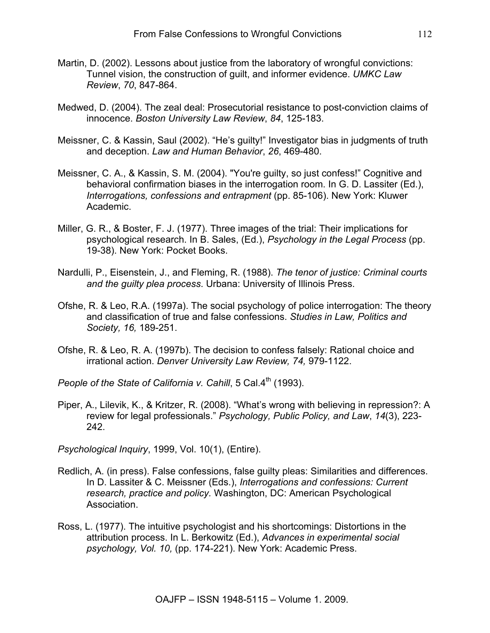- Martin, D. (2002). Lessons about justice from the laboratory of wrongful convictions: Tunnel vision, the construction of guilt, and informer evidence. *UMKC Law Review*, *70*, 847-864.
- Medwed, D. (2004). The zeal deal: Prosecutorial resistance to post-conviction claims of innocence. *Boston University Law Review*, *84*, 125-183.
- Meissner, C. & Kassin, Saul (2002). "He's guilty!" Investigator bias in judgments of truth and deception. *Law and Human Behavior*, *26*, 469-480.
- Meissner, C. A., & Kassin, S. M. (2004). "You're guilty, so just confess!" Cognitive and behavioral confirmation biases in the interrogation room. In G. D. Lassiter (Ed.), *Interrogations, confessions and entrapment* (pp. 85-106). New York: Kluwer Academic.
- Miller, G. R., & Boster, F. J. (1977). Three images of the trial: Their implications for psychological research. In B. Sales, (Ed.), *Psychology in the Legal Process* (pp. 19-38). New York: Pocket Books.
- Nardulli, P., Eisenstein, J., and Fleming, R. (1988). *The tenor of justice: Criminal courts and the guilty plea process*. Urbana: University of Illinois Press.
- Ofshe, R. & Leo, R.A. (1997a). The social psychology of police interrogation: The theory and classification of true and false confessions. *Studies in Law, Politics and Society, 16,* 189-251.
- Ofshe, R. & Leo, R. A. (1997b). The decision to confess falsely: Rational choice and irrational action. *Denver University Law Review, 74,* 979-1122.

*People of the State of California v. Cahill*, 5 Cal.4<sup>th</sup> (1993).

Piper, A., Lilevik, K., & Kritzer, R. (2008). "What's wrong with believing in repression?: A review for legal professionals." *Psychology, Public Policy, and Law*, *14*(3), 223- 242.

*Psychological Inquiry*, 1999, Vol. 10(1), (Entire).

- Redlich, A. (in press). False confessions, false guilty pleas: Similarities and differences. In D. Lassiter & C. Meissner (Eds.), *Interrogations and confessions: Current research, practice and policy.* Washington, DC: American Psychological Association.
- Ross, L. (1977). The intuitive psychologist and his shortcomings: Distortions in the attribution process. In L. Berkowitz (Ed.), *Advances in experimental social psychology, Vol. 10,* (pp. 174-221). New York: Academic Press.